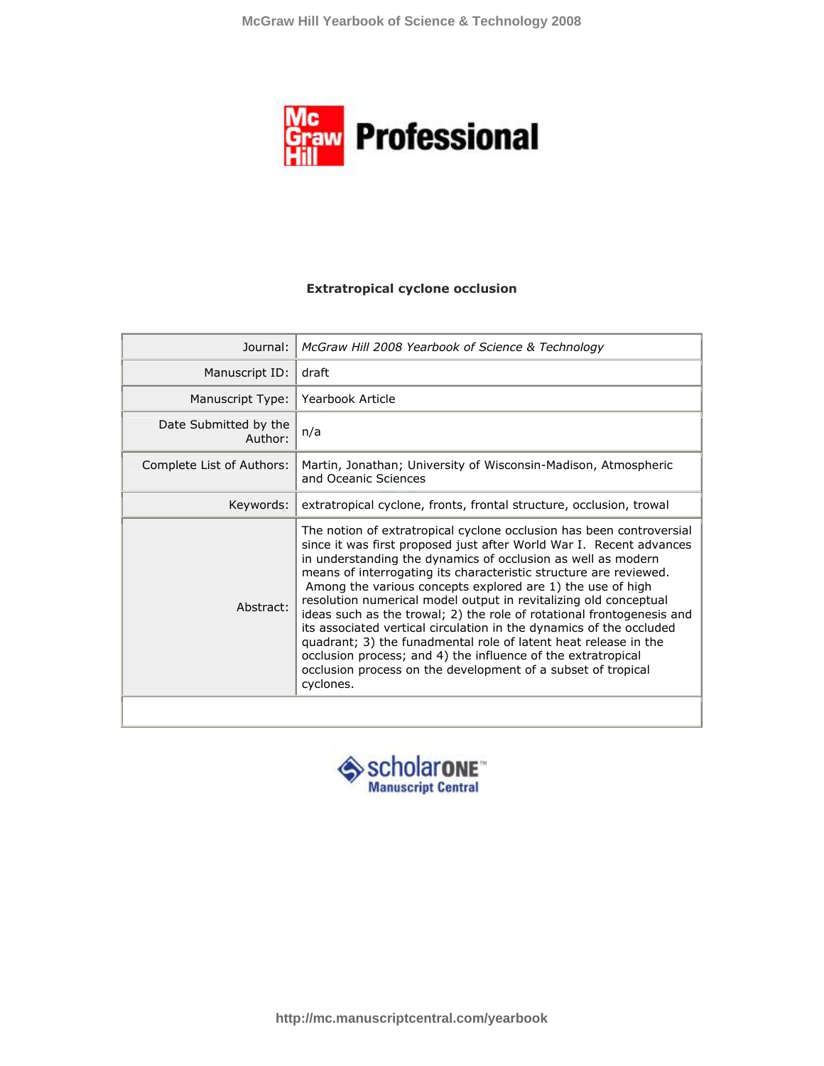

## **Extratropical cyclone occlusion**

| Journal:                         | McGraw Hill 2008 Yearbook of Science & Technology                                                                                                                                                                                                                                                                                                                                                                                                                                                                                                                                                                                                                                                                                                                                  |
|----------------------------------|------------------------------------------------------------------------------------------------------------------------------------------------------------------------------------------------------------------------------------------------------------------------------------------------------------------------------------------------------------------------------------------------------------------------------------------------------------------------------------------------------------------------------------------------------------------------------------------------------------------------------------------------------------------------------------------------------------------------------------------------------------------------------------|
| Manuscript ID:                   | draft                                                                                                                                                                                                                                                                                                                                                                                                                                                                                                                                                                                                                                                                                                                                                                              |
| Manuscript Type:                 | Yearbook Article                                                                                                                                                                                                                                                                                                                                                                                                                                                                                                                                                                                                                                                                                                                                                                   |
| Date Submitted by the<br>Author: | n/a                                                                                                                                                                                                                                                                                                                                                                                                                                                                                                                                                                                                                                                                                                                                                                                |
| Complete List of Authors:        | Martin, Jonathan; University of Wisconsin-Madison, Atmospheric<br>and Oceanic Sciences                                                                                                                                                                                                                                                                                                                                                                                                                                                                                                                                                                                                                                                                                             |
| Keywords:                        | extratropical cyclone, fronts, frontal structure, occlusion, trowal                                                                                                                                                                                                                                                                                                                                                                                                                                                                                                                                                                                                                                                                                                                |
| Abstract:                        | The notion of extratropical cyclone occlusion has been controversial<br>since it was first proposed just after World War I. Recent advances<br>in understanding the dynamics of occlusion as well as modern<br>means of interrogating its characteristic structure are reviewed.<br>Among the various concepts explored are 1) the use of high<br>resolution numerical model output in revitalizing old conceptual<br>ideas such as the trowal; 2) the role of rotational frontogenesis and<br>its associated vertical circulation in the dynamics of the occluded<br>quadrant; 3) the funadmental role of latent heat release in the<br>occlusion process; and 4) the influence of the extratropical<br>occlusion process on the development of a subset of tropical<br>cyclones. |
|                                  |                                                                                                                                                                                                                                                                                                                                                                                                                                                                                                                                                                                                                                                                                                                                                                                    |

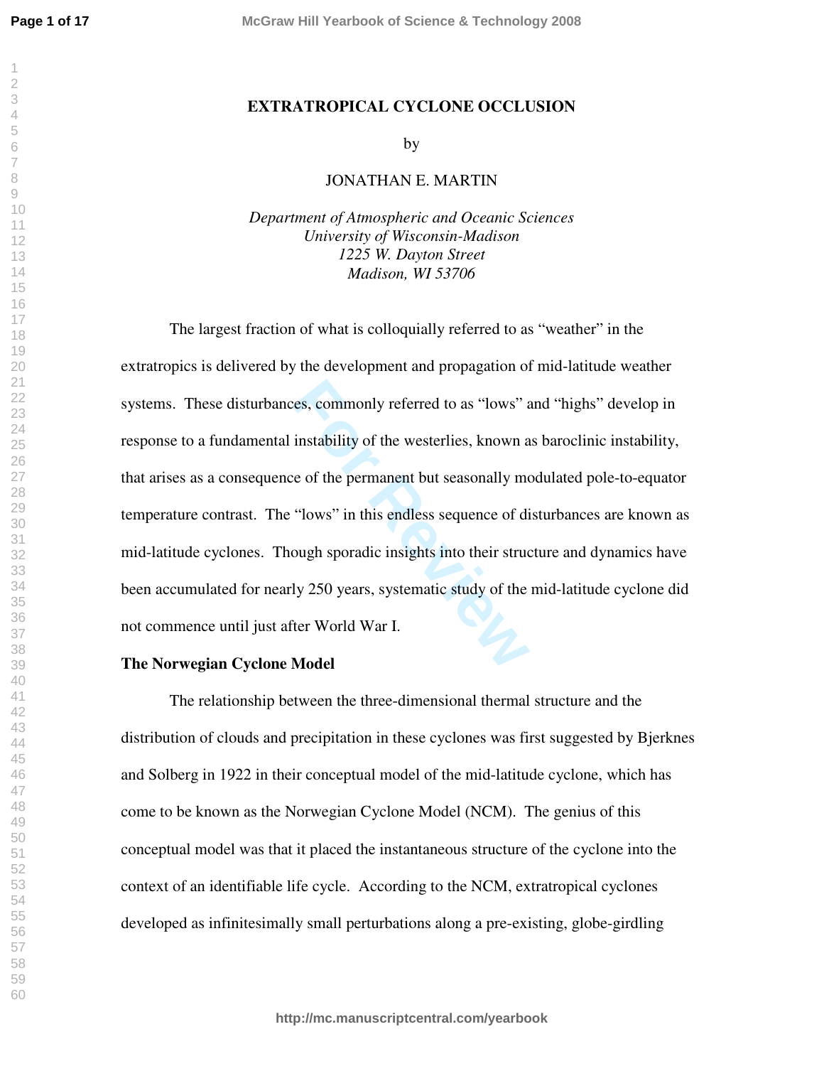## **EXTRATROPICAL CYCLONE OCCLUSION**

by

## JONATHAN E. MARTIN

*Department of Atmospheric and Oceanic Sciences University of Wisconsin-Madison 1225 W. Dayton Street Madison, WI 53706*

res, commonly referred to as "lows" a<br>
instability of the westerlies, known a<br>
re of the permanent but seasonally me<br>
"lows" in this endless sequence of di<br>
ough sporadic insights into their struce<br>
Iy 250 years, systemati The largest fraction of what is colloquially referred to as "weather" in the extratropics is delivered by the development and propagation of mid-latitude weather systems. These disturbances, commonly referred to as "lows" and "highs" develop in response to a fundamental instability of the westerlies, known as baroclinic instability, that arises as a consequence of the permanent but seasonally modulated pole-to-equator temperature contrast. The "lows" in this endless sequence of disturbances are known as mid-latitude cyclones. Though sporadic insights into their structure and dynamics have been accumulated for nearly 250 years, systematic study of the mid-latitude cyclone did not commence until just after World War I.

## **The Norwegian Cyclone Model**

The relationship between the three-dimensional thermal structure and the distribution of clouds and precipitation in these cyclones was first suggested by Bjerknes and Solberg in 1922 in their conceptual model of the mid-latitude cyclone, which has come to be known as the Norwegian Cyclone Model (NCM). The genius of this conceptual model was that it placed the instantaneous structure of the cyclone into the context of an identifiable life cycle. According to the NCM, extratropical cyclones developed as infinitesimally small perturbations along a pre-existing, globe-girdling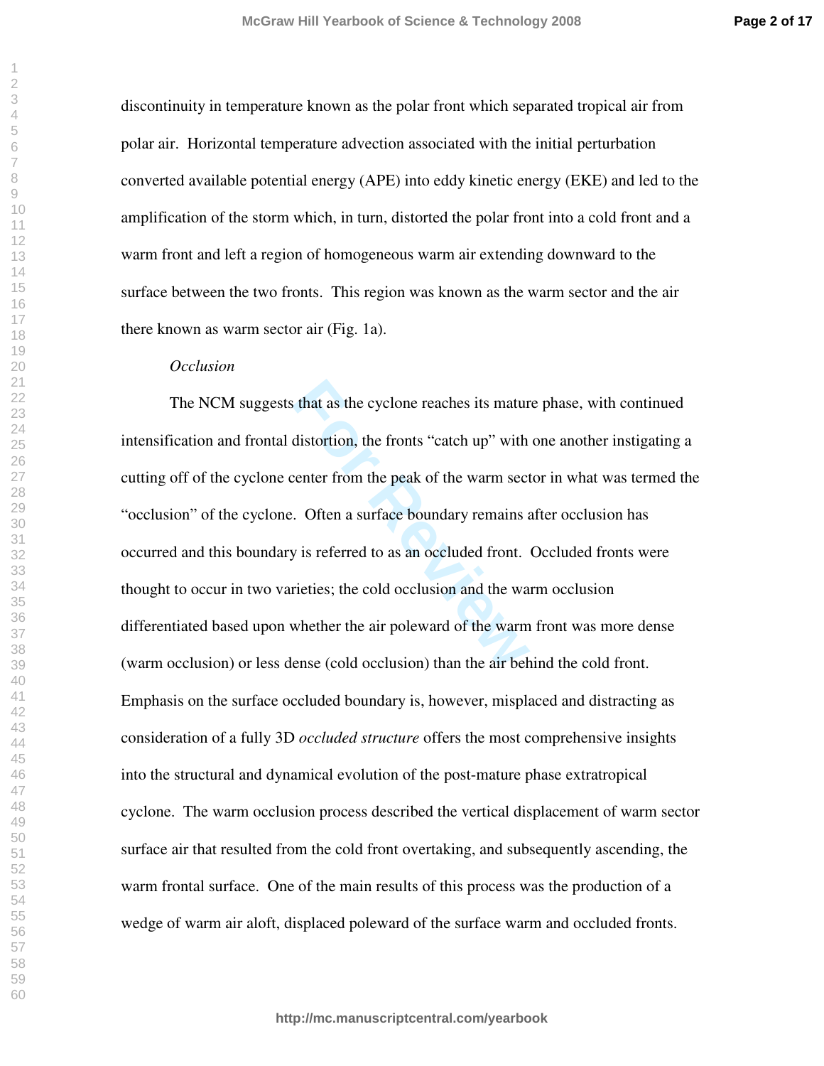discontinuity in temperature known as the polar front which separated tropical air from polar air. Horizontal temperature advection associated with the initial perturbation converted available potential energy (APE) into eddy kinetic energy (EKE) and led to the amplification of the storm which, in turn, distorted the polar front into a cold front and a warm front and left a region of homogeneous warm air extending downward to the surface between the two fronts. This region was known as the warm sector and the air there known as warm sector air (Fig. 1a).

#### *Occlusion*

For that as the cyclone reaches its mature distortion, the fronts "catch up" with center from the peak of the warm sect.<br>
For a surface boundary remains and its referred to as an occluded front.<br>
Fitties; the cold occlusio The NCM suggests that as the cyclone reaches its mature phase, with continued intensification and frontal distortion, the fronts "catch up" with one another instigating a cutting off of the cyclone center from the peak of the warm sector in what was termed the "occlusion" of the cyclone. Often a surface boundary remains after occlusion has occurred and this boundary is referred to as an occluded front. Occluded fronts were thought to occur in two varieties; the cold occlusion and the warm occlusion differentiated based upon whether the air poleward of the warm front was more dense (warm occlusion) or less dense (cold occlusion) than the air behind the cold front. Emphasis on the surface occluded boundary is, however, misplaced and distracting as consideration of a fully 3D *occluded structure* offers the most comprehensive insights into the structural and dynamical evolution of the post-mature phase extratropical cyclone. The warm occlusion process described the vertical displacement of warm sector surface air that resulted from the cold front overtaking, and subsequently ascending, the warm frontal surface. One of the main results of this process was the production of a wedge of warm air aloft, displaced poleward of the surface warm and occluded fronts.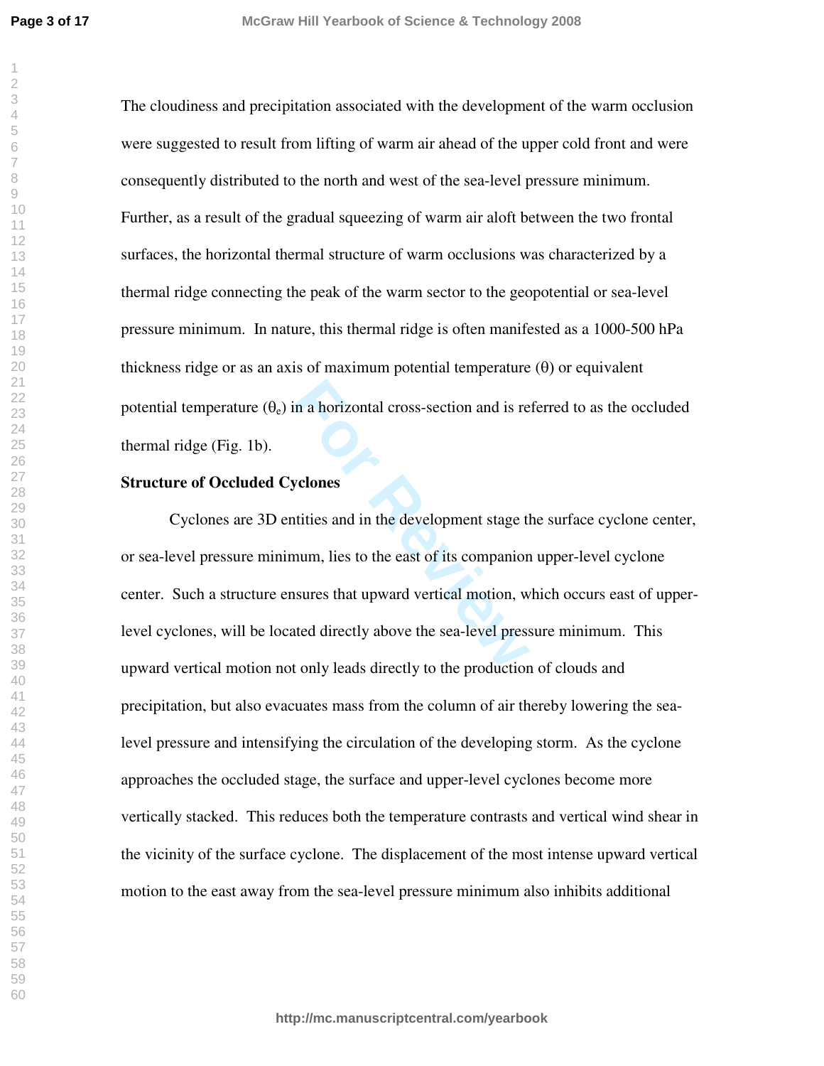The cloudiness and precipitation associated with the development of the warm occlusion were suggested to result from lifting of warm air ahead of the upper cold front and were consequently distributed to the north and west of the sea-level pressure minimum. Further, as a result of the gradual squeezing of warm air aloft between the two frontal surfaces, the horizontal thermal structure of warm occlusions was characterized by a thermal ridge connecting the peak of the warm sector to the geopotential or sea-level pressure minimum. In nature, this thermal ridge is often manifested as a 1000-500 hPa thickness ridge or as an axis of maximum potential temperature  $(\theta)$  or equivalent potential temperature  $(\theta_e)$  in a horizontal cross-section and is referred to as the occluded thermal ridge (Fig. 1b).

## **Structure of Occluded Cyclones**

in a horizontal cross-section and is re<br> **Formulation** we<br> **Formulation** is to the east of its companion<br> **Formulation** is to the east of its companion<br> **Formulation** is that upward vertical motion, we<br>
ated directly above Cyclones are 3D entities and in the development stage the surface cyclone center, or sea-level pressure minimum, lies to the east of its companion upper-level cyclone center. Such a structure ensures that upward vertical motion, which occurs east of upperlevel cyclones, will be located directly above the sea-level pressure minimum. This upward vertical motion not only leads directly to the production of clouds and precipitation, but also evacuates mass from the column of air thereby lowering the sealevel pressure and intensifying the circulation of the developing storm. As the cyclone approaches the occluded stage, the surface and upper-level cyclones become more vertically stacked. This reduces both the temperature contrasts and vertical wind shear in the vicinity of the surface cyclone. The displacement of the most intense upward vertical motion to the east away from the sea-level pressure minimum also inhibits additional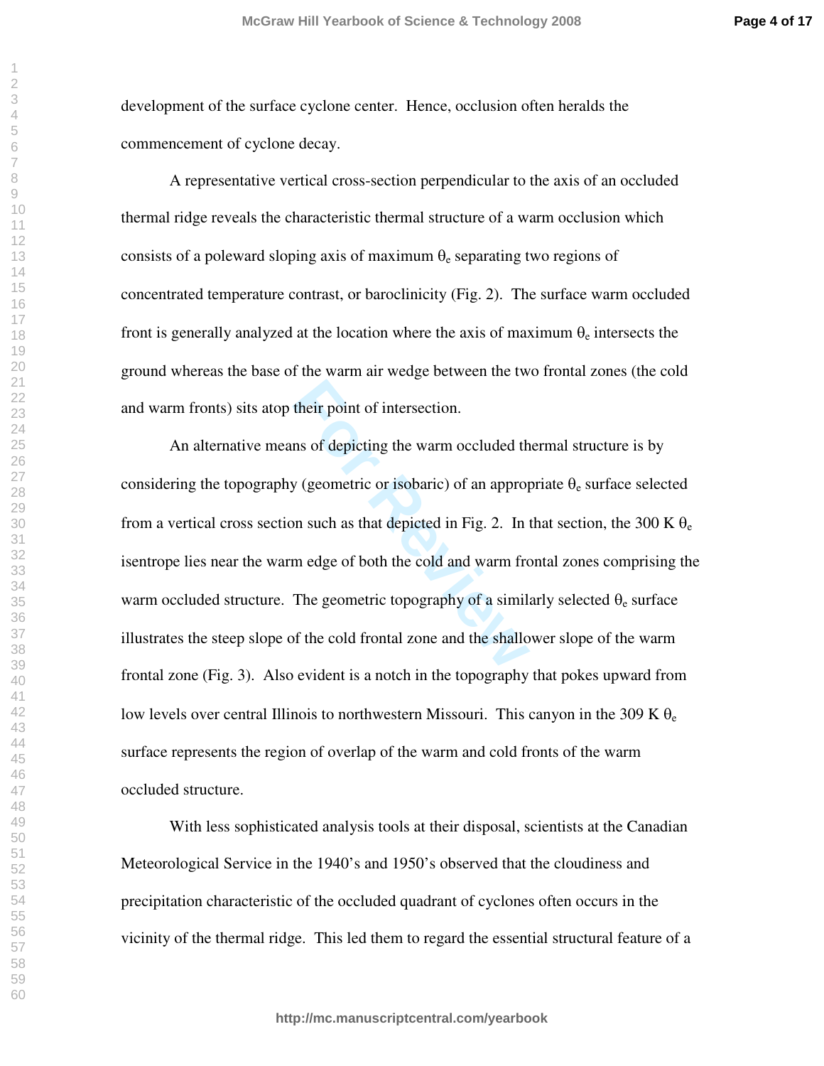development of the surface cyclone center. Hence, occlusion often heralds the commencement of cyclone decay.

A representative vertical cross-section perpendicular to the axis of an occluded thermal ridge reveals the characteristic thermal structure of a warm occlusion which consists of a poleward sloping axis of maximum  $\theta_e$  separating two regions of concentrated temperature contrast, or baroclinicity (Fig. 2). The surface warm occluded front is generally analyzed at the location where the axis of maximum  $\theta_e$  intersects the ground whereas the base of the warm air wedge between the two frontal zones (the cold and warm fronts) sits atop their point of intersection.

their point of intersection.<br>
In so of depicting the warm occluded the<br>
y (geometric or isobaric) of an approp<br>
on such as that depicted in Fig. 2. In<br>
m edge of both the cold and warm fro<br>
The geometric topography of a si An alternative means of depicting the warm occluded thermal structure is by considering the topography (geometric or isobaric) of an appropriate  $\theta_e$  surface selected from a vertical cross section such as that depicted in Fig. 2. In that section, the 300 K  $\theta_e$ isentrope lies near the warm edge of both the cold and warm frontal zones comprising the warm occluded structure. The geometric topography of a similarly selected  $\theta_e$  surface illustrates the steep slope of the cold frontal zone and the shallower slope of the warm frontal zone (Fig. 3). Also evident is a notch in the topography that pokes upward from low levels over central Illinois to northwestern Missouri. This canyon in the 309 K  $\theta_e$ surface represents the region of overlap of the warm and cold fronts of the warm occluded structure.

With less sophisticated analysis tools at their disposal, scientists at the Canadian Meteorological Service in the 1940's and 1950's observed that the cloudiness and precipitation characteristic of the occluded quadrant of cyclones often occurs in the vicinity of the thermal ridge. This led them to regard the essential structural feature of a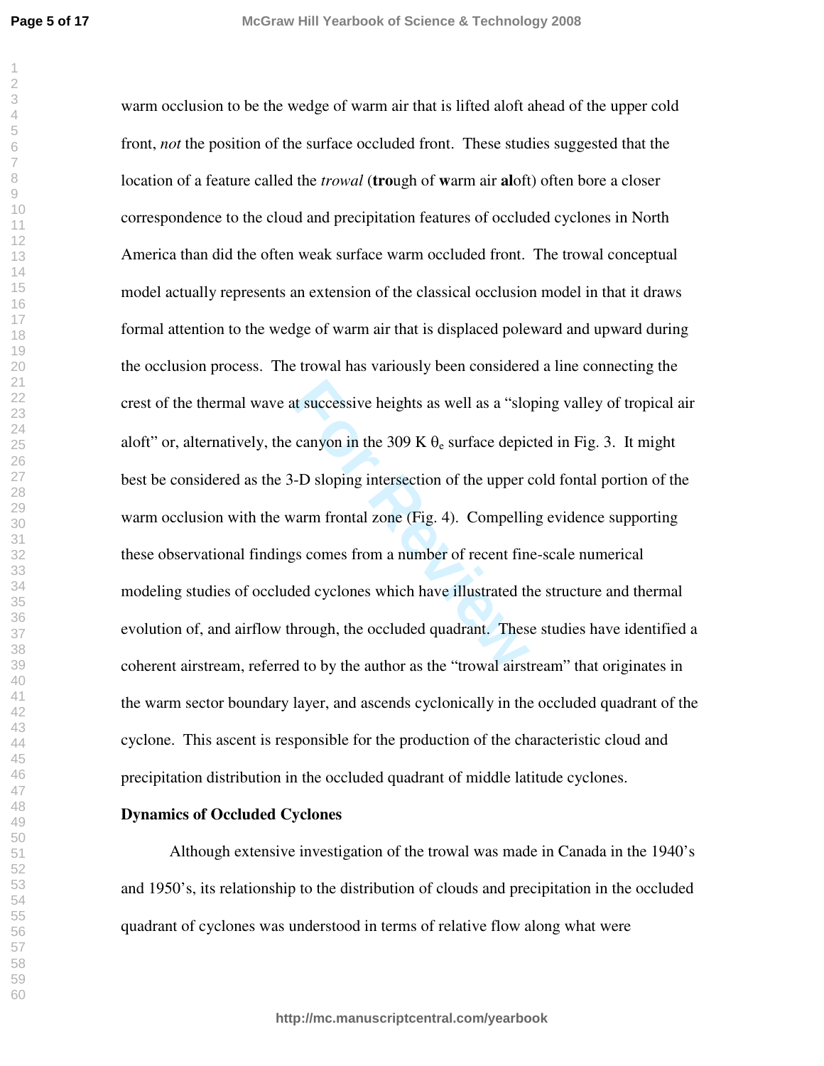**Page 5 of 17**

at successive heights as well as a "slo<br>canyon in the 309 K  $\theta_e$  surface depic<br>-D sloping intersection of the upper of<br>varm frontal zone (Fig. 4). Compellings<br>s comes from a number of recent fin<br>led cyclones which have i warm occlusion to be the wedge of warm air that is lifted aloft ahead of the upper cold front, *not* the position of the surface occluded front. These studies suggested that the location of a feature called the *trowal* (**tro**ugh of **w**arm air **al**oft) often bore a closer correspondence to the cloud and precipitation features of occluded cyclones in North America than did the often weak surface warm occluded front. The trowal conceptual model actually represents an extension of the classical occlusion model in that it draws formal attention to the wedge of warm air that is displaced poleward and upward during the occlusion process. The trowal has variously been considered a line connecting the crest of the thermal wave at successive heights as well as a "sloping valley of tropical air aloft" or, alternatively, the canyon in the 309 K  $\theta_e$  surface depicted in Fig. 3. It might best be considered as the 3-D sloping intersection of the upper cold fontal portion of the warm occlusion with the warm frontal zone (Fig. 4). Compelling evidence supporting these observational findings comes from a number of recent fine-scale numerical modeling studies of occluded cyclones which have illustrated the structure and thermal evolution of, and airflow through, the occluded quadrant. These studies have identified a coherent airstream, referred to by the author as the "trowal airstream" that originates in the warm sector boundary layer, and ascends cyclonically in the occluded quadrant of the cyclone. This ascent is responsible for the production of the characteristic cloud and precipitation distribution in the occluded quadrant of middle latitude cyclones.

### **Dynamics of Occluded Cyclones**

Although extensive investigation of the trowal was made in Canada in the 1940's and 1950's, its relationship to the distribution of clouds and precipitation in the occluded quadrant of cyclones was understood in terms of relative flow along what were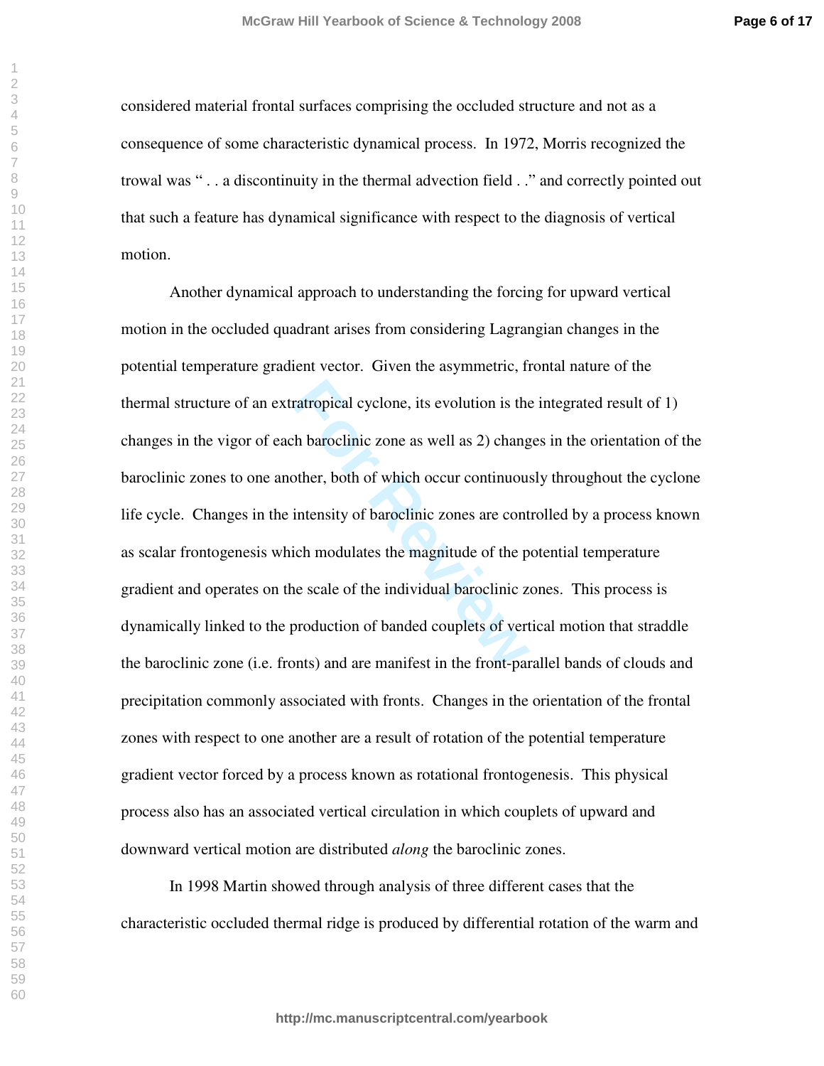considered material frontal surfaces comprising the occluded structure and not as a consequence of some characteristic dynamical process. In 1972, Morris recognized the trowal was " . . a discontinuity in the thermal advection field . ." and correctly pointed out that such a feature has dynamical significance with respect to the diagnosis of vertical motion.

ratropical cyclone, its evolution is the<br>
th baroclinic zone as well as 2) chang<br>
other, both of which occur continuous<br>
intensity of baroclinic zones are cont<br>
ich modulates the magnitude of the p<br>
ne scale of the individ Another dynamical approach to understanding the forcing for upward vertical motion in the occluded quadrant arises from considering Lagrangian changes in the potential temperature gradient vector. Given the asymmetric, frontal nature of the thermal structure of an extratropical cyclone, its evolution is the integrated result of 1) changes in the vigor of each baroclinic zone as well as 2) changes in the orientation of the baroclinic zones to one another, both of which occur continuously throughout the cyclone life cycle. Changes in the intensity of baroclinic zones are controlled by a process known as scalar frontogenesis which modulates the magnitude of the potential temperature gradient and operates on the scale of the individual baroclinic zones. This process is dynamically linked to the production of banded couplets of vertical motion that straddle the baroclinic zone (i.e. fronts) and are manifest in the front-parallel bands of clouds and precipitation commonly associated with fronts. Changes in the orientation of the frontal zones with respect to one another are a result of rotation of the potential temperature gradient vector forced by a process known as rotational frontogenesis. This physical process also has an associated vertical circulation in which couplets of upward and downward vertical motion are distributed *along* the baroclinic zones.

In 1998 Martin showed through analysis of three different cases that the characteristic occluded thermal ridge is produced by differential rotation of the warm and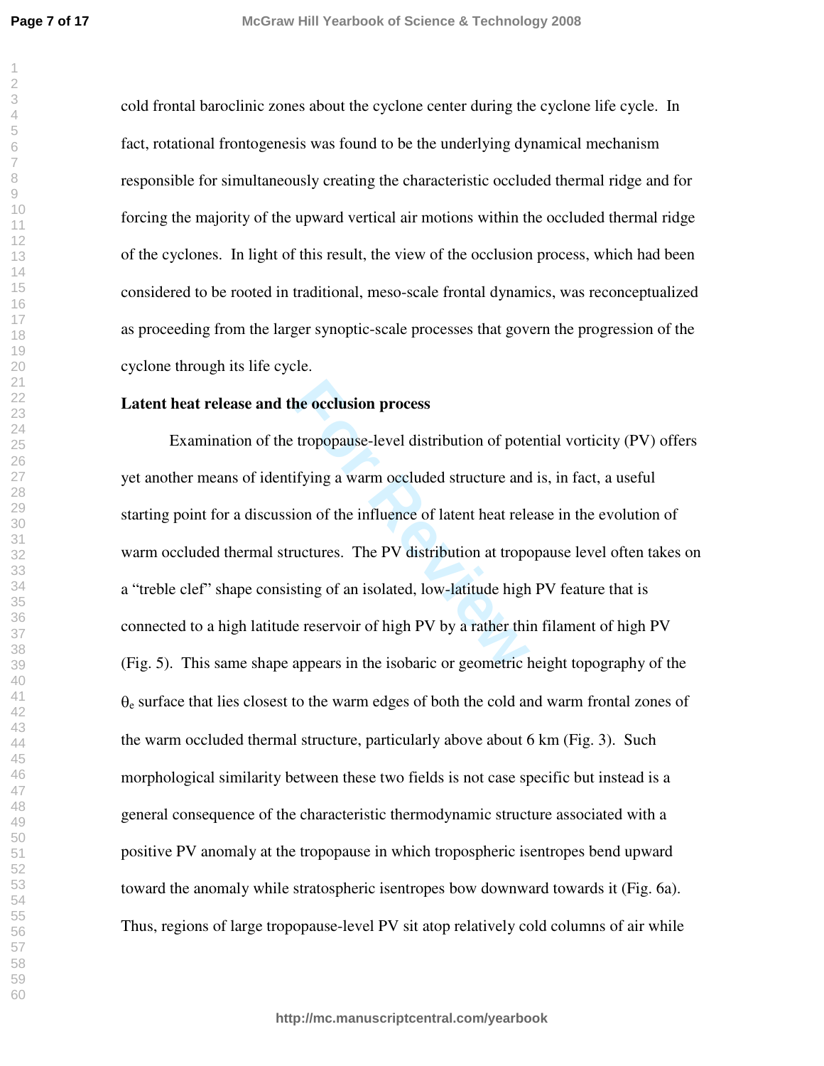cold frontal baroclinic zones about the cyclone center during the cyclone life cycle. In fact, rotational frontogenesis was found to be the underlying dynamical mechanism responsible for simultaneously creating the characteristic occluded thermal ridge and for forcing the majority of the upward vertical air motions within the occluded thermal ridge of the cyclones. In light of this result, the view of the occlusion process, which had been considered to be rooted in traditional, meso-scale frontal dynamics, was reconceptualized as proceeding from the larger synoptic-scale processes that govern the progression of the cyclone through its life cycle.

## **Latent heat release and the occlusion process**

**he occlusion process**<br>tropopause-level distribution of pote<br>ifying a warm occluded structure and<br>ion of the influence of latent heat rele<br>ructures. The PV distribution at tropo<br>sting of an isolated, low-latitude high<br>e re Examination of the tropopause-level distribution of potential vorticity (PV) offers yet another means of identifying a warm occluded structure and is, in fact, a useful starting point for a discussion of the influence of latent heat release in the evolution of warm occluded thermal structures. The PV distribution at tropopause level often takes on a "treble clef" shape consisting of an isolated, low-latitude high PV feature that is connected to a high latitude reservoir of high PV by a rather thin filament of high PV (Fig. 5). This same shape appears in the isobaric or geometric height topography of the  $\theta_e$  surface that lies closest to the warm edges of both the cold and warm frontal zones of the warm occluded thermal structure, particularly above about 6 km (Fig. 3). Such morphological similarity between these two fields is not case specific but instead is a general consequence of the characteristic thermodynamic structure associated with a positive PV anomaly at the tropopause in which tropospheric isentropes bend upward toward the anomaly while stratospheric isentropes bow downward towards it (Fig. 6a). Thus, regions of large tropopause-level PV sit atop relatively cold columns of air while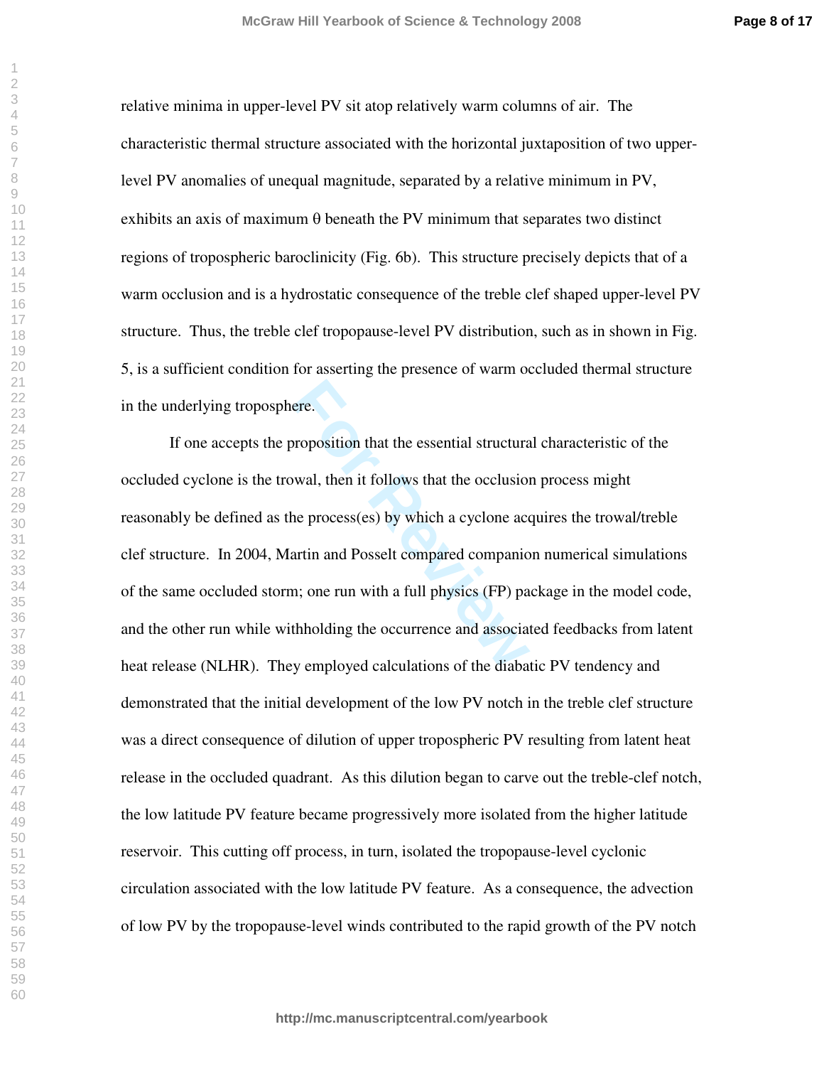**Page 8 of 17**

relative minima in upper-level PV sit atop relatively warm columns of air. The characteristic thermal structure associated with the horizontal juxtaposition of two upperlevel PV anomalies of unequal magnitude, separated by a relative minimum in PV, exhibits an axis of maximum  $\theta$  beneath the PV minimum that separates two distinct regions of tropospheric baroclinicity (Fig. 6b). This structure precisely depicts that of a warm occlusion and is a hydrostatic consequence of the treble clef shaped upper-level PV structure. Thus, the treble clef tropopause-level PV distribution, such as in shown in Fig. 5, is a sufficient condition for asserting the presence of warm occluded thermal structure in the underlying troposphere.

For Proposition that the essential structura<br>
For Proposition that the sesential structura<br>
The process (es) by which a cyclone accordant<br>
The process (es) by which a cyclone accordant<br>
The process (FP) pathholding the occ If one accepts the proposition that the essential structural characteristic of the occluded cyclone is the trowal, then it follows that the occlusion process might reasonably be defined as the process(es) by which a cyclone acquires the trowal/treble clef structure. In 2004, Martin and Posselt compared companion numerical simulations of the same occluded storm; one run with a full physics (FP) package in the model code, and the other run while withholding the occurrence and associated feedbacks from latent heat release (NLHR). They employed calculations of the diabatic PV tendency and demonstrated that the initial development of the low PV notch in the treble clef structure was a direct consequence of dilution of upper tropospheric PV resulting from latent heat release in the occluded quadrant. As this dilution began to carve out the treble-clef notch, the low latitude PV feature became progressively more isolated from the higher latitude reservoir. This cutting off process, in turn, isolated the tropopause-level cyclonic circulation associated with the low latitude PV feature. As a consequence, the advection of low PV by the tropopause-level winds contributed to the rapid growth of the PV notch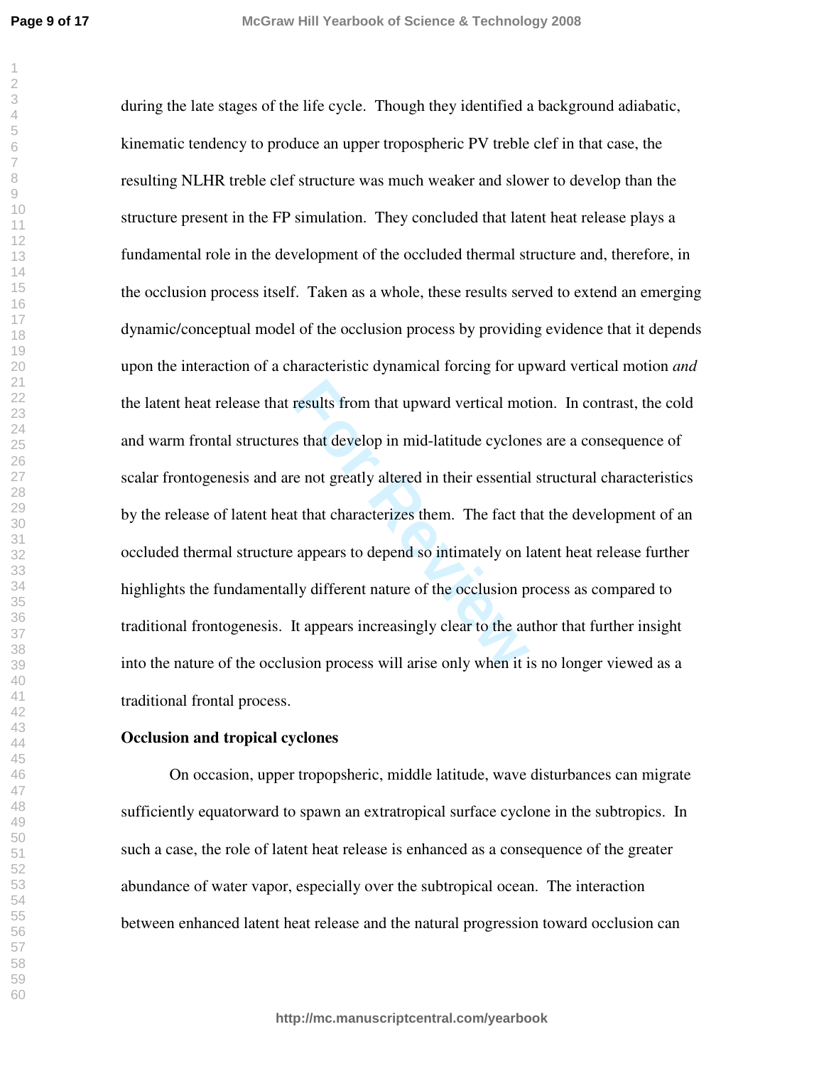**Page 9 of 17**

results from that upward vertical mot<br>s that develop in mid-latitude cyclone<br>e not greatly altered in their essential<br>it that characterizes them. The fact the<br>appears to depend so intimately on l<br>lly different nature of th during the late stages of the life cycle. Though they identified a background adiabatic, kinematic tendency to produce an upper tropospheric PV treble clef in that case, the resulting NLHR treble clef structure was much weaker and slower to develop than the structure present in the FP simulation. They concluded that latent heat release plays a fundamental role in the development of the occluded thermal structure and, therefore, in the occlusion process itself. Taken as a whole, these results served to extend an emerging dynamic/conceptual model of the occlusion process by providing evidence that it depends upon the interaction of a characteristic dynamical forcing for upward vertical motion *and* the latent heat release that results from that upward vertical motion. In contrast, the cold and warm frontal structures that develop in mid-latitude cyclones are a consequence of scalar frontogenesis and are not greatly altered in their essential structural characteristics by the release of latent heat that characterizes them. The fact that the development of an occluded thermal structure appears to depend so intimately on latent heat release further highlights the fundamentally different nature of the occlusion process as compared to traditional frontogenesis. It appears increasingly clear to the author that further insight into the nature of the occlusion process will arise only when it is no longer viewed as a traditional frontal process.

#### **Occlusion and tropical cyclones**

On occasion, upper tropopsheric, middle latitude, wave disturbances can migrate sufficiently equatorward to spawn an extratropical surface cyclone in the subtropics. In such a case, the role of latent heat release is enhanced as a consequence of the greater abundance of water vapor, especially over the subtropical ocean. The interaction between enhanced latent heat release and the natural progression toward occlusion can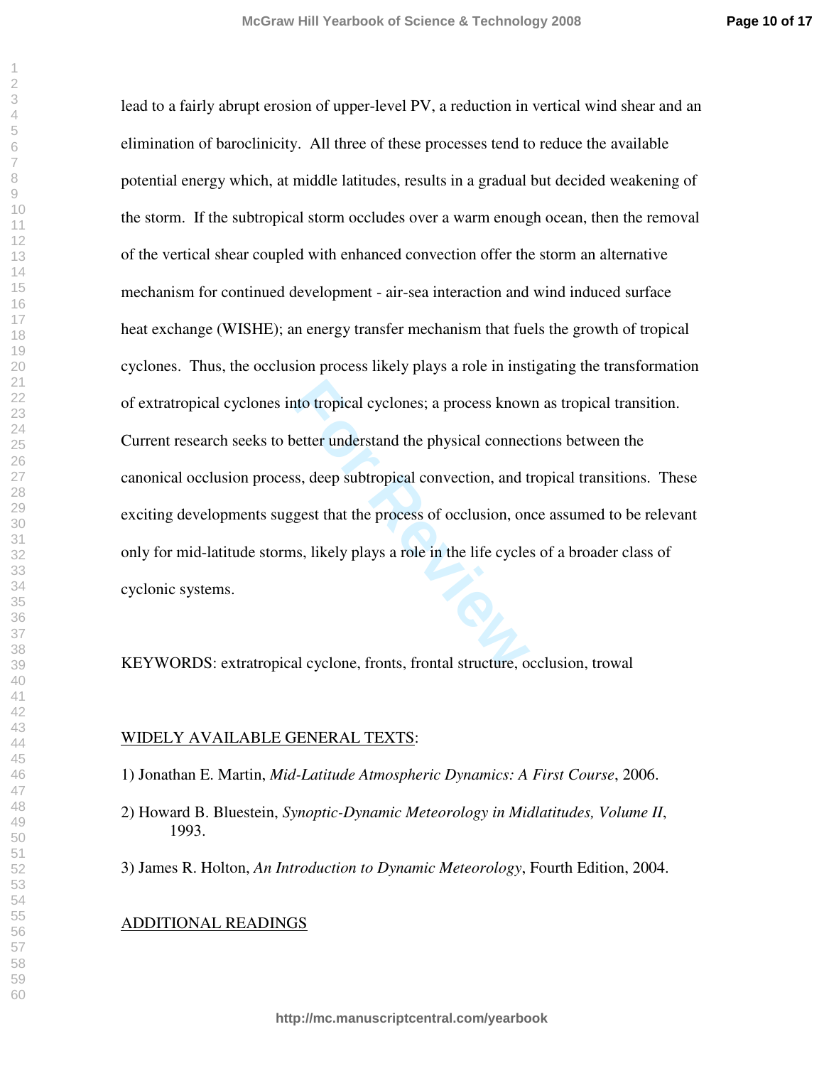nto tropical cyclones; a process know<br>
better understand the physical connection, and the<br>
set that the process of occlusion, on<br>
is, likely plays a role in the life cycle<br>
al cyclone, fronts, frontal structure, o lead to a fairly abrupt erosion of upper-level PV, a reduction in vertical wind shear and an elimination of baroclinicity. All three of these processes tend to reduce the available potential energy which, at middle latitudes, results in a gradual but decided weakening of the storm. If the subtropical storm occludes over a warm enough ocean, then the removal of the vertical shear coupled with enhanced convection offer the storm an alternative mechanism for continued development - air-sea interaction and wind induced surface heat exchange (WISHE); an energy transfer mechanism that fuels the growth of tropical cyclones. Thus, the occlusion process likely plays a role in instigating the transformation of extratropical cyclones into tropical cyclones; a process known as tropical transition. Current research seeks to better understand the physical connections between the canonical occlusion process, deep subtropical convection, and tropical transitions. These exciting developments suggest that the process of occlusion, once assumed to be relevant only for mid-latitude storms, likely plays a role in the life cycles of a broader class of cyclonic systems.

KEYWORDS: extratropical cyclone, fronts, frontal structure, occlusion, trowal

#### WIDELY AVAILABLE GENERAL TEXTS:

- 1) Jonathan E. Martin, *Mid-Latitude Atmospheric Dynamics: A First Course*, 2006.
- 2) Howard B. Bluestein, *Synoptic-Dynamic Meteorology in Midlatitudes, Volume II*, 1993.
- 3) James R. Holton, *An Introduction to Dynamic Meteorology*, Fourth Edition, 2004.

## ADDITIONAL READINGS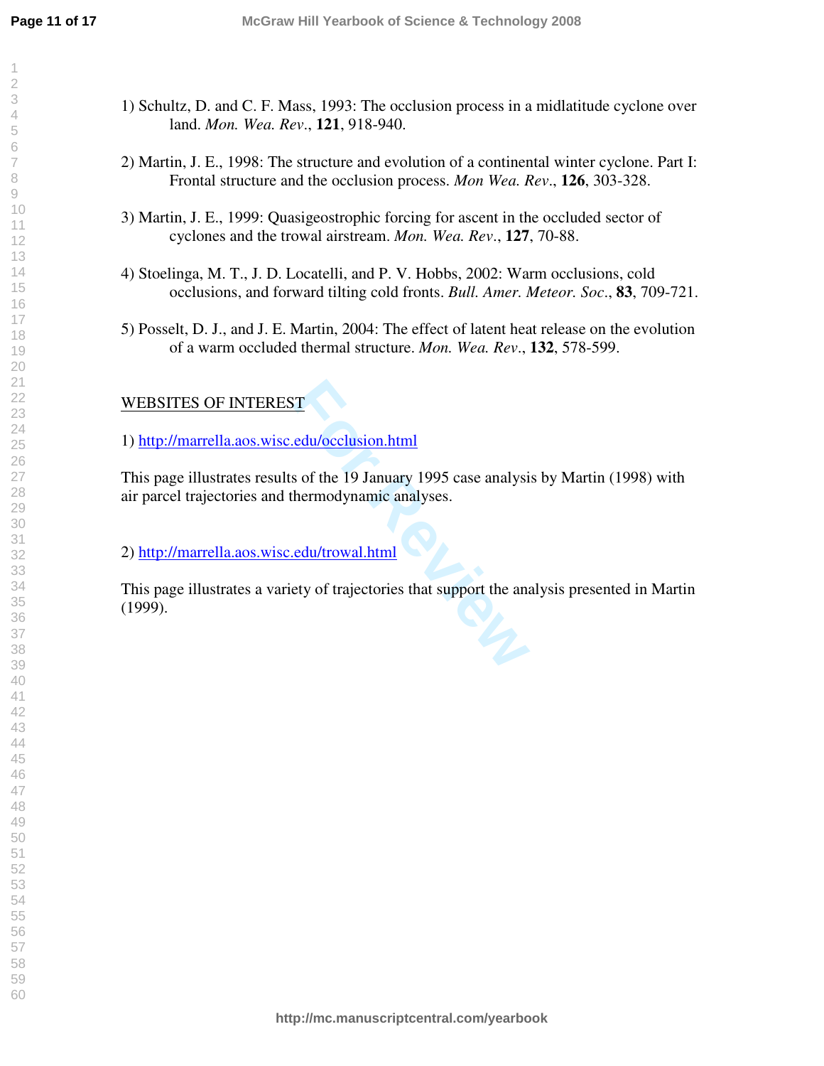- 1) Schultz, D. and C. F. Mass, 1993: The occlusion process in a midlatitude cyclone over land. *Mon. Wea. Rev*., **121**, 918-940.
- 2) Martin, J. E., 1998: The structure and evolution of a continental winter cyclone. Part I: Frontal structure and the occlusion process. *Mon Wea. Rev*., **126**, 303-328.
- 3) Martin, J. E., 1999: Quasigeostrophic forcing for ascent in the occluded sector of cyclones and the trowal airstream. *Mon. Wea. Rev*., **127**, 70-88.
- 4) Stoelinga, M. T., J. D. Locatelli, and P. V. Hobbs, 2002: Warm occlusions, cold occlusions, and forward tilting cold fronts. *Bull. Amer. Meteor. Soc*., **83**, 709-721.
- 5) Posselt, D. J., and J. E. Martin, 2004: The effect of latent heat release on the evolution of a warm occluded thermal structure. *Mon. Wea. Rev*., **132**, 578-599.

# WEBSITES OF INTEREST

1) <http://marrella.aos.wisc.edu/occlusion.html>

For <u>edu/occlusion.html</u><br>
Subset of the 19 January 1995 case analysis<br>
hermodynamic analyses.<br>
<u>Edu/trowal.html</u><br>
Ety of trajectories that support the analysis This page illustrates results of the 19 January 1995 case analysis by Martin (1998) with air parcel trajectories and thermodynamic analyses.

2) <http://marrella.aos.wisc.edu/trowal.html>

This page illustrates a variety of trajectories that support the analysis presented in Martin (1999).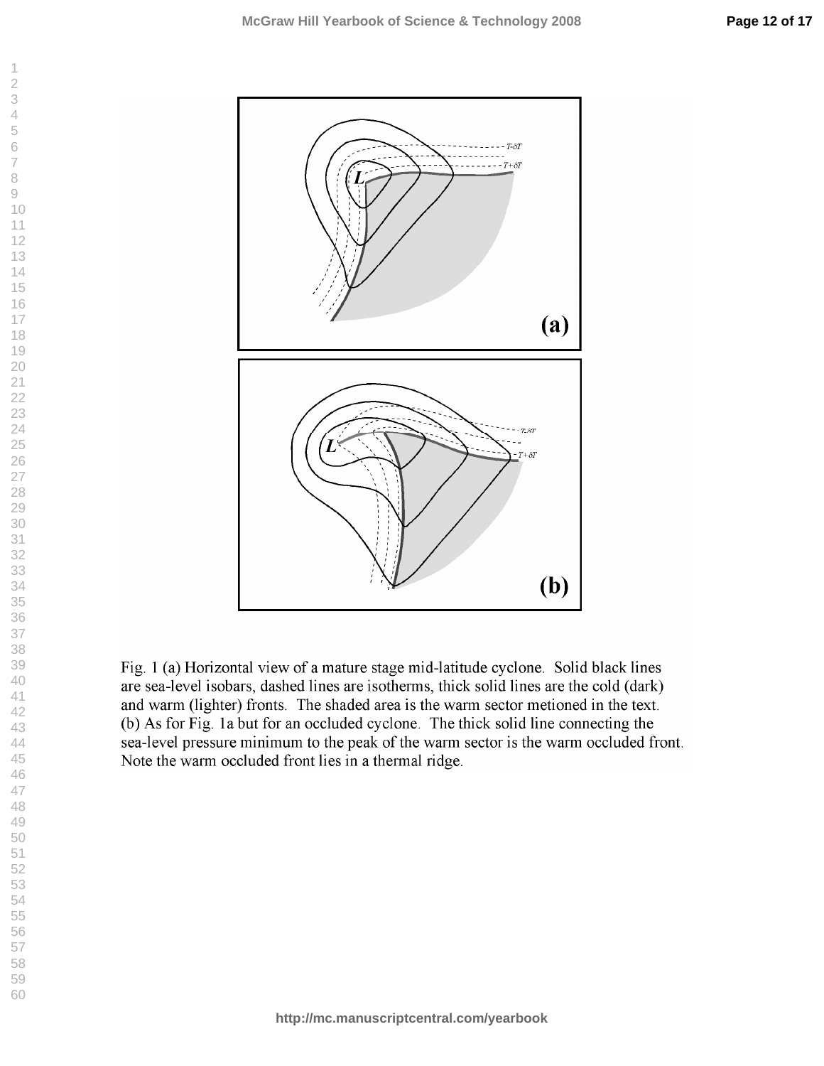$\overline{7}$ 

 $\,8\,$  $\odot$ 

 $\overline{2}$  $\overline{\mathcal{A}}$  $\mathbf 6$ 



are sea-level isobars, dashed lines are isotherms, thick solid lines are the cold (dark) and warm (lighter) fronts. The shaded area is the warm sector metioned in the text. (b) As for Fig. 1a but for an occluded cyclone. The thick solid line connecting the sea-level pressure minimum to the peak of the warm sector is the warm occluded front. Note the warm occluded front lies in a thermal ridge.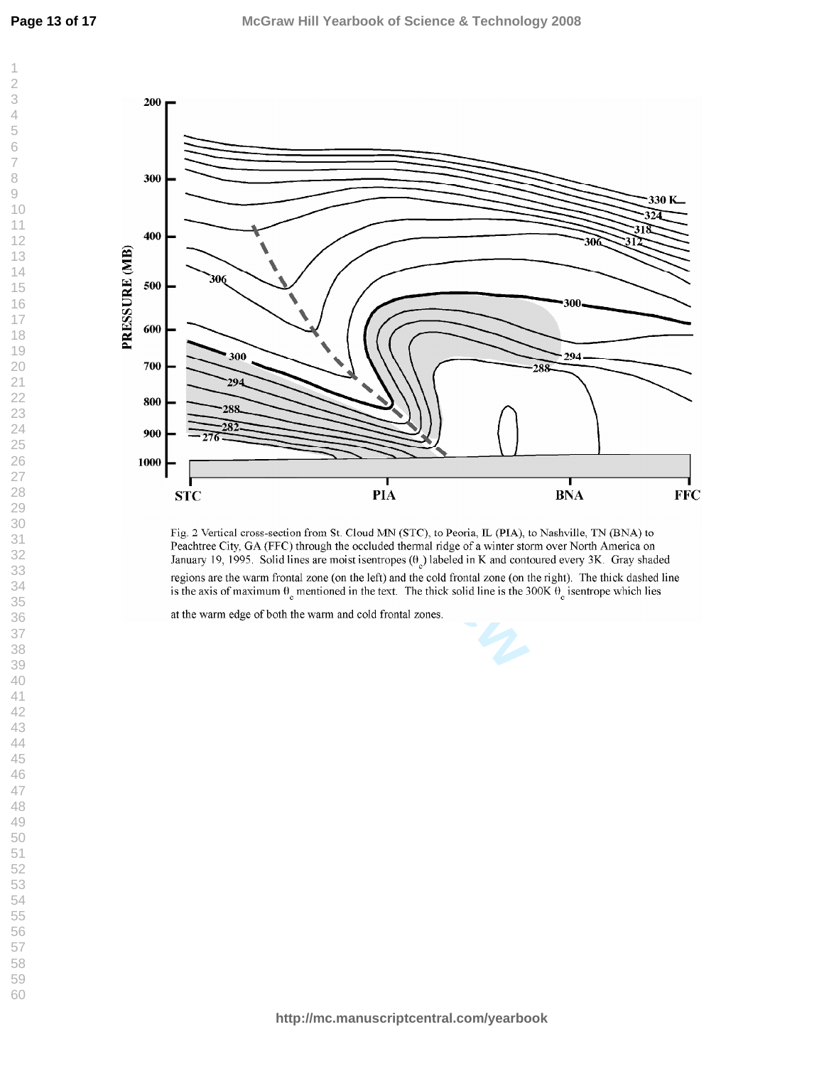$\overline{\mathcal{A}}$  $\mathbf 6$  $\overline{7}$ 

 $\overline{\phantom{a}}$  $\overline{2}$ 

 $\odot$ 

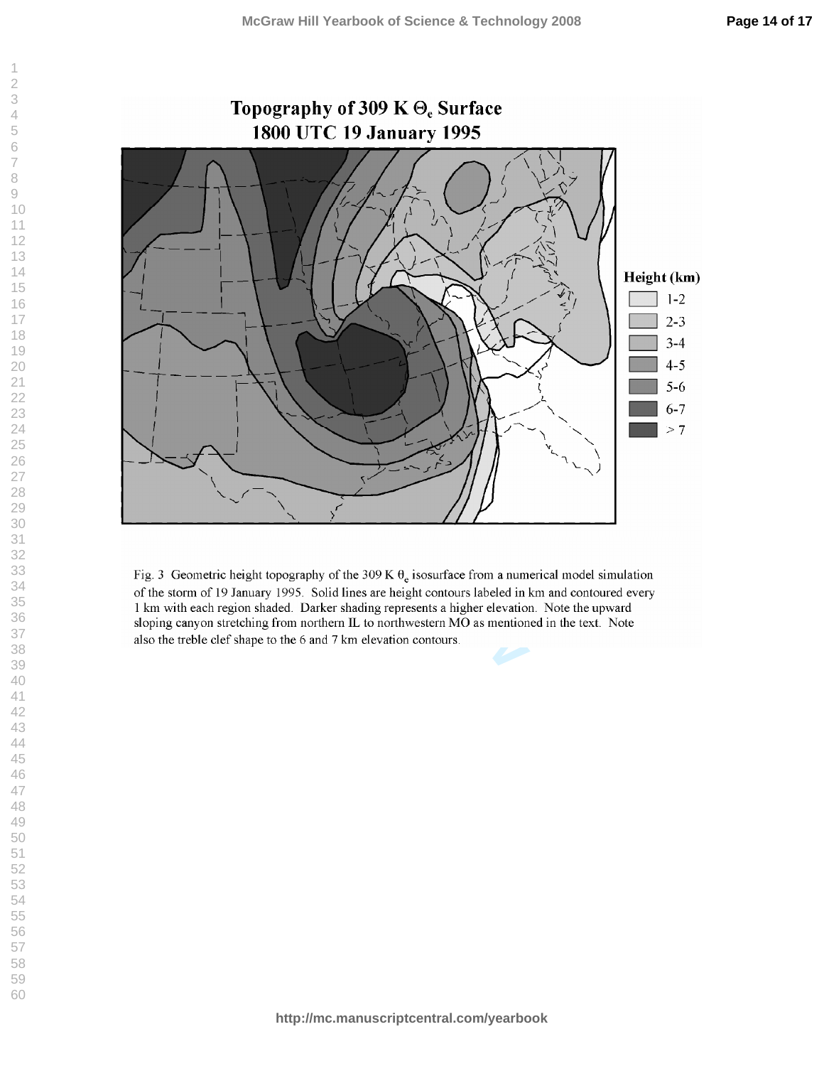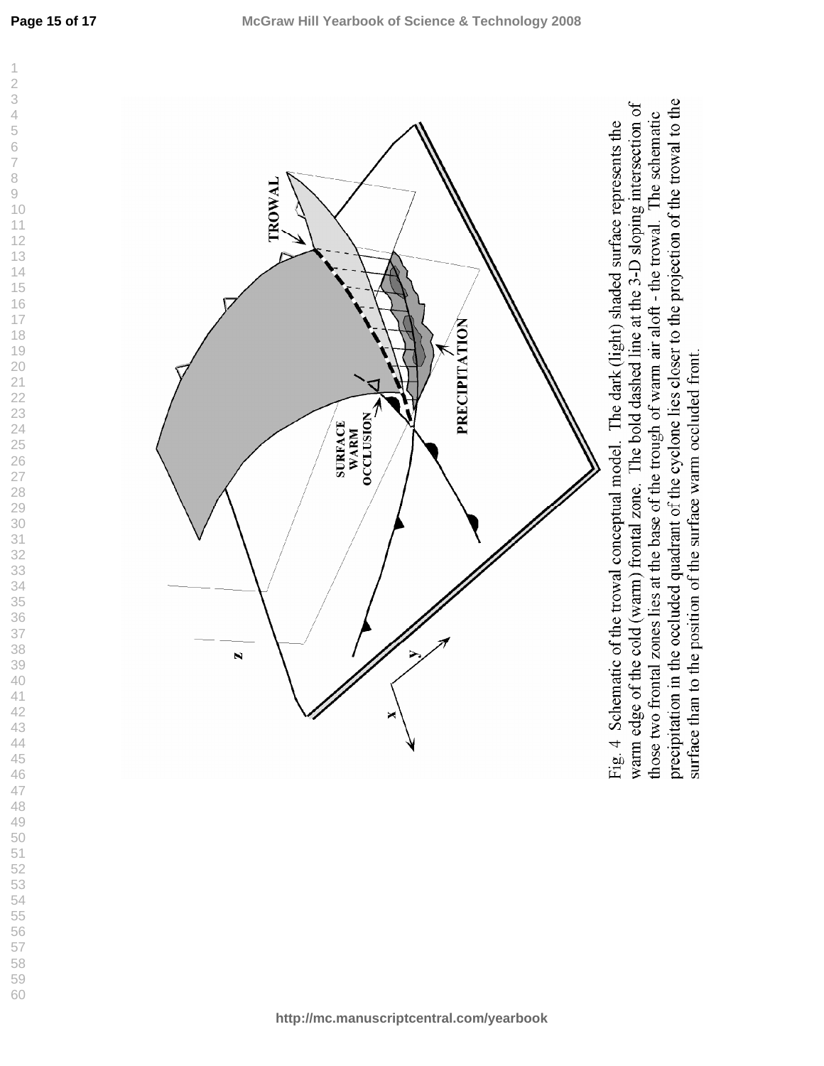

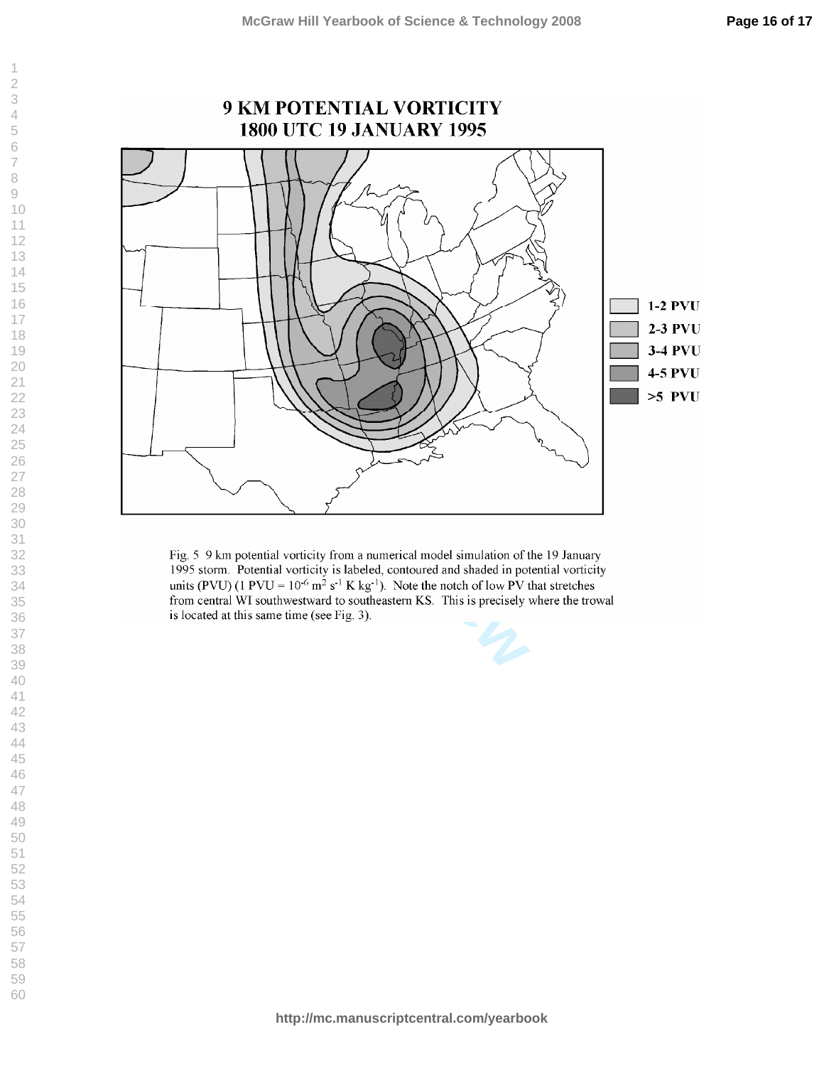